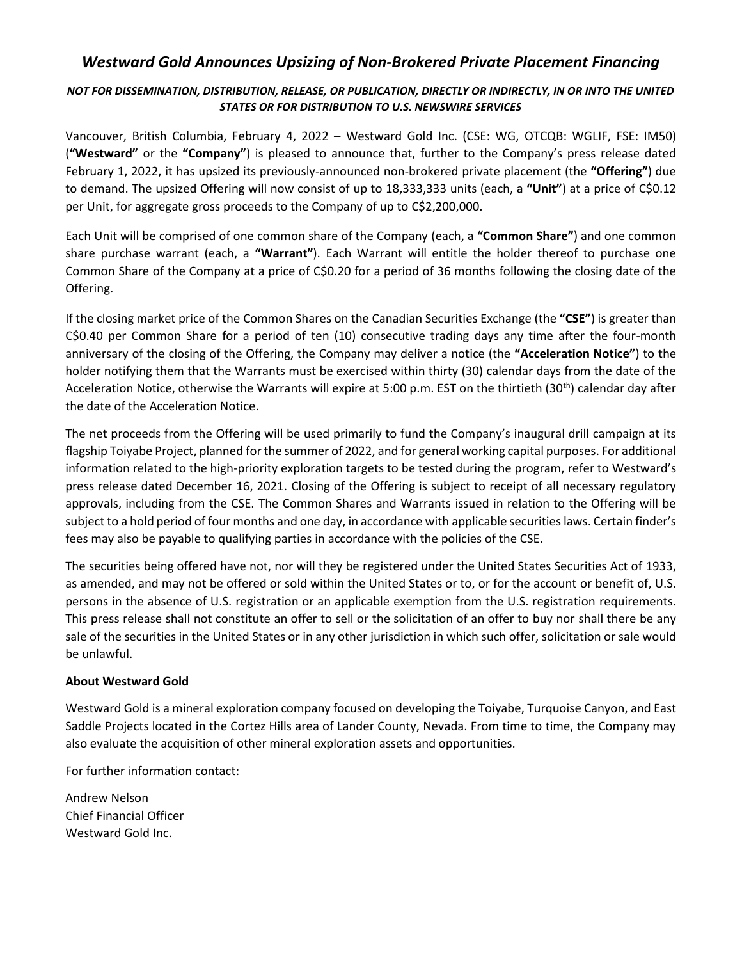## *Westward Gold Announces Upsizing of Non-Brokered Private Placement Financing*

## *NOT FOR DISSEMINATION, DISTRIBUTION, RELEASE, OR PUBLICATION, DIRECTLY OR INDIRECTLY, IN OR INTO THE UNITED STATES OR FOR DISTRIBUTION TO U.S. NEWSWIRE SERVICES*

Vancouver, British Columbia, February 4, 2022 – Westward Gold Inc. (CSE: WG, OTCQB: WGLIF, FSE: IM50) (**"Westward"** or the **"Company"**) is pleased to announce that, further to the Company's press release dated February 1, 2022, it has upsized its previously-announced non-brokered private placement (the **"Offering"**) due to demand. The upsized Offering will now consist of up to 18,333,333 units (each, a **"Unit"**) at a price of C\$0.12 per Unit, for aggregate gross proceeds to the Company of up to C\$2,200,000.

Each Unit will be comprised of one common share of the Company (each, a **"Common Share"**) and one common share purchase warrant (each, a **"Warrant"**). Each Warrant will entitle the holder thereof to purchase one Common Share of the Company at a price of C\$0.20 for a period of 36 months following the closing date of the Offering.

If the closing market price of the Common Shares on the Canadian Securities Exchange (the **"CSE"**) is greater than C\$0.40 per Common Share for a period of ten (10) consecutive trading days any time after the four-month anniversary of the closing of the Offering, the Company may deliver a notice (the **"Acceleration Notice"**) to the holder notifying them that the Warrants must be exercised within thirty (30) calendar days from the date of the Acceleration Notice, otherwise the Warrants will expire at 5:00 p.m. EST on the thirtieth (30<sup>th</sup>) calendar day after the date of the Acceleration Notice.

The net proceeds from the Offering will be used primarily to fund the Company's inaugural drill campaign at its flagship Toiyabe Project, planned for the summer of 2022, and for general working capital purposes. For additional information related to the high-priority exploration targets to be tested during the program, refer to Westward's press release dated December 16, 2021. Closing of the Offering is subject to receipt of all necessary regulatory approvals, including from the CSE. The Common Shares and Warrants issued in relation to the Offering will be subject to a hold period of four months and one day, in accordance with applicable securities laws. Certain finder's fees may also be payable to qualifying parties in accordance with the policies of the CSE.

The securities being offered have not, nor will they be registered under the United States Securities Act of 1933, as amended, and may not be offered or sold within the United States or to, or for the account or benefit of, U.S. persons in the absence of U.S. registration or an applicable exemption from the U.S. registration requirements. This press release shall not constitute an offer to sell or the solicitation of an offer to buy nor shall there be any sale of the securities in the United States or in any other jurisdiction in which such offer, solicitation or sale would be unlawful.

## **About Westward Gold**

Westward Gold is a mineral exploration company focused on developing the Toiyabe, Turquoise Canyon, and East Saddle Projects located in the Cortez Hills area of Lander County, Nevada. From time to time, the Company may also evaluate the acquisition of other mineral exploration assets and opportunities.

For further information contact:

Andrew Nelson Chief Financial Officer Westward Gold Inc.